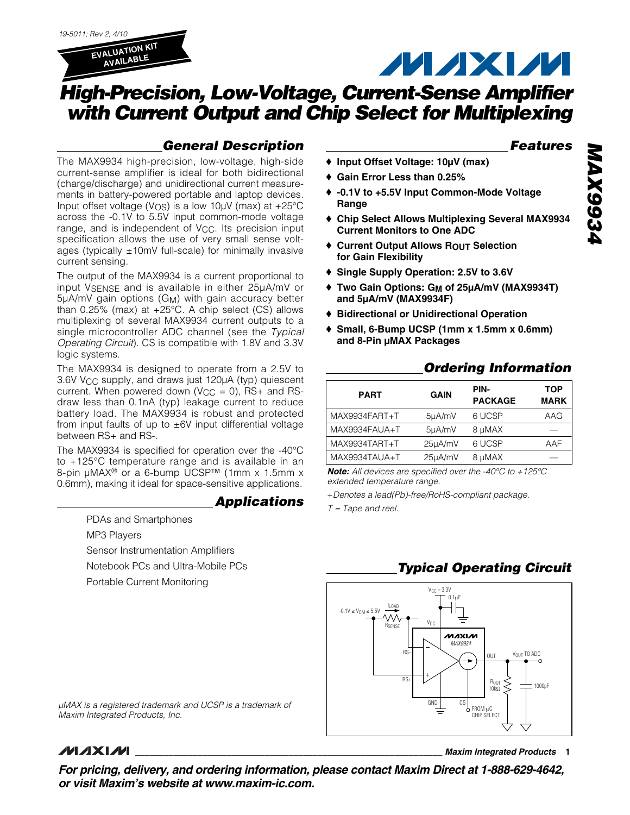

## **MAXM**

## **High-Precision, Low-Voltage, Current-Sense Amplifier with Current Output and Chip Select for Multiplexing**

### **General Description**

The MAX9934 high-precision, low-voltage, high-side current-sense amplifier is ideal for both bidirectional (charge/discharge) and unidirectional current measurements in battery-powered portable and laptop devices. Input offset voltage ( $V$ <sub>OS</sub>) is a low 10 $\mu$ V (max) at +25 $\rm{°C}$ across the -0.1V to 5.5V input common-mode voltage range, and is independent of Vcc. Its precision input specification allows the use of very small sense voltages (typically  $\pm 10$ mV full-scale) for minimally invasive current sensing.

The output of the MAX9934 is a current proportional to input VSENSE and is available in either 25µA/mV or 5µA/mV gain options (GM) with gain accuracy better than 0.25% (max) at +25°C. A chip select (CS) allows multiplexing of several MAX9934 current outputs to a single microcontroller ADC channel (see the Typical Operating Circuit). CS is compatible with 1.8V and 3.3V logic systems.

The MAX9934 is designed to operate from a 2.5V to 3.6V V<sub>CC</sub> supply, and draws just 120µA (typ) quiescent current. When powered down ( $V_{CC} = 0$ ), RS+ and RSdraw less than 0.1nA (typ) leakage current to reduce battery load. The MAX9934 is robust and protected from input faults of up to  $\pm$ 6V input differential voltage between RS+ and RS-.

The MAX9934 is specified for operation over the -40°C to +125°C temperature range and is available in an 8-pin µMAX® or a 6-bump UCSP™ (1mm x 1.5mm x 0.6mm), making it ideal for space-sensitive applications.

### **Applications**

PDAs and Smartphones

MP3 Players

Sensor Instrumentation Amplifiers

Notebook PCs and Ultra-Mobile PCs

Portable Current Monitoring

### **Features**

- ♦ **Input Offset Voltage: 10µV (max)**
- ♦ **Gain Error Less than 0.25%**
- ♦ **-0.1V to +5.5V Input Common-Mode Voltage Range**
- ♦ **Chip Select Allows Multiplexing Several MAX9934 Current Monitors to One ADC**
- ♦ **Current Output Allows ROUT Selection for Gain Flexibility**
- ♦ **Single Supply Operation: 2.5V to 3.6V**
- ♦ **Two Gain Options: GM of 25µA/mV (MAX9934T) and 5µA/mV (MAX9934F)**
- ♦ **Bidirectional or Unidirectional Operation**
- ♦ **Small, 6-Bump UCSP (1mm x 1.5mm x 0.6mm) and 8-Pin µMAX Packages**

### **Ordering Information**

| <b>PART</b>   | <b>GAIN</b> | PIN-<br><b>PACKAGE</b> | <b>TOP</b><br><b>MARK</b> |
|---------------|-------------|------------------------|---------------------------|
| MAX9934FART+T | 5µA/mV      | 6 UCSP                 | AAG                       |
| MAX9934FAUA+T | 5µA/mV      | 8 µMAX                 |                           |
| MAX9934TART+T | 25µA/mV     | 6 UCSP                 | AAF                       |
| MAX9934TAUA+T | 25µA/mV     | 8 µMAX                 |                           |

**Note:** All devices are specified over the -40°C to +125°C extended temperature range.

+Denotes a lead(Pb)-free/RoHS-compliant package.

 $T = \text{Tape}$  and reel.

### **Typical Operating Circuit**



µMAX is a registered trademark and UCSP is a trademark of Maxim Integrated Products, Inc.

### *MAXIM*

**\_\_\_\_\_\_\_\_\_\_\_\_\_\_\_\_\_\_\_\_\_\_\_\_\_\_\_\_\_\_\_\_\_\_\_\_\_\_\_\_\_\_\_\_\_\_\_\_\_\_\_\_\_\_\_\_\_\_\_\_\_\_\_\_ Maxim Integrated Products 1**

**For pricing, delivery, and ordering information, please contact Maxim Direct at 1-888-629-4642, or visit Maxim's website at www.maxim-ic.com.**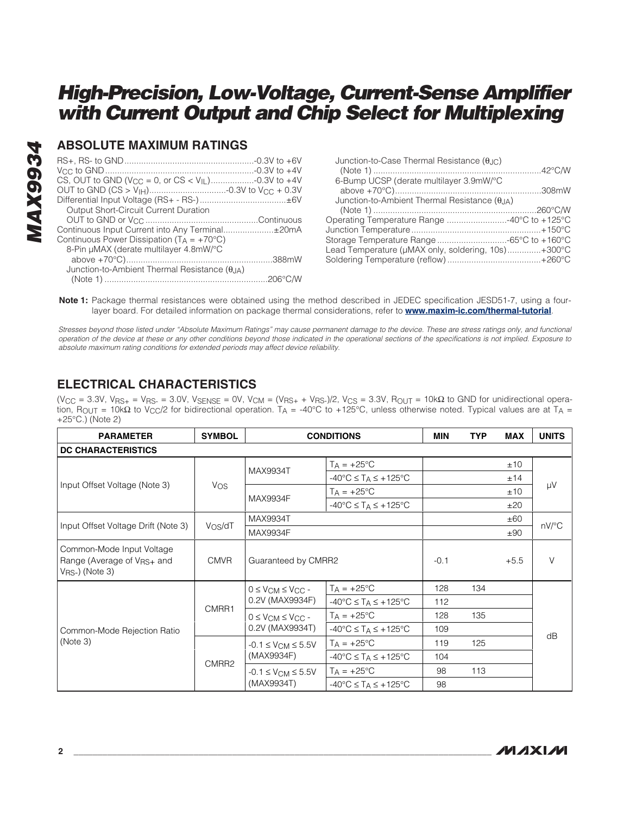### **ABSOLUTE MAXIMUM RATINGS**

| Junction-to-Case Thermal Resistance $(\theta_{\text{JC}})$ |  |
|------------------------------------------------------------|--|
|                                                            |  |
| 6-Bump UCSP (derate multilayer 3.9mW/°C                    |  |
|                                                            |  |
| Junction-to-Ambient Thermal Resistance $(\theta_{JA})$     |  |
|                                                            |  |
| Operating Temperature Range 40°C to +125°C                 |  |
|                                                            |  |
| Storage Temperature Range -65°C to +160°C                  |  |
| Lead Temperature (µMAX only, soldering, 10s)+300°C         |  |
|                                                            |  |
|                                                            |  |

**Note 1:** Package thermal resistances were obtained using the method described in JEDEC specification JESD51-7, using a fourlayer board. For detailed information on package thermal considerations, refer to **www.maxim-ic.com/thermal-tutorial**.

Stresses beyond those listed under "Absolute Maximum Ratings" may cause permanent damage to the device. These are stress ratings only, and functional operation of the device at these or any other conditions beyond those indicated in the operational sections of the specifications is not implied. Exposure to absolute maximum rating conditions for extended periods may affect device reliability.

### **ELECTRICAL CHARACTERISTICS**

(V<sub>CC</sub> = 3.3V, V<sub>RS+</sub> = V<sub>RS</sub><sub>-</sub> = 3.0V, V<sub>SENSE</sub> = 0V, V<sub>CM</sub> = (V<sub>RS+</sub> + V<sub>RS</sub>-)/2, V<sub>CS</sub> = 3.3V, R<sub>OUT</sub> = 10kΩ to GND for unidirectional operation, R<sub>OUT</sub> = 10kΩ to V<sub>CC</sub>/2 for bidirectional operation. T<sub>A</sub> = -40°C to +125°C, unless otherwise noted. Typical values are at T<sub>A</sub> = +25°C.) (Note 2)

| <b>PARAMETER</b>                                                                           | <b>SYMBOL</b>       | <b>CONDITIONS</b>                                |                                                     | <b>MIN</b> | <b>TYP</b> | <b>MAX</b> | <b>UNITS</b> |
|--------------------------------------------------------------------------------------------|---------------------|--------------------------------------------------|-----------------------------------------------------|------------|------------|------------|--------------|
| <b>DC CHARACTERISTICS</b>                                                                  |                     |                                                  |                                                     |            |            |            |              |
|                                                                                            |                     |                                                  | $T_A = +25^{\circ}C$                                |            |            | ±10        |              |
|                                                                                            |                     | MAX9934T                                         | $-40^{\circ}$ C $\leq$ T <sub>A</sub> $\leq$ +125°C |            |            | ±14        |              |
| Input Offset Voltage (Note 3)                                                              | <b>Vos</b>          |                                                  | $TA = +25^{\circ}C$                                 |            |            | ±10        | μV           |
|                                                                                            |                     | MAX9934F                                         | $-40^{\circ}$ C $\leq$ T <sub>A</sub> $\leq$ +125°C |            |            | ±20        |              |
|                                                                                            |                     | MAX9934T                                         |                                                     |            |            | ±60        |              |
| Input Offset Voltage Drift (Note 3)                                                        | V <sub>OS</sub> /dT | MAX9934F                                         |                                                     |            |            | ±90        | nV/°C        |
| Common-Mode Input Voltage<br>Range (Average of V <sub>RS+</sub> and<br>$V_{RS}$ ) (Note 3) | <b>CMVR</b>         | Guaranteed by CMRR2                              |                                                     | $-0.1$     |            | $+5.5$     | $\vee$       |
|                                                                                            |                     | $0 \leq V_{CM} \leq V_{CC}$ -                    | $T_A = +25$ °C                                      | 128        | 134        |            |              |
|                                                                                            | CMRR1               | 0.2V (MAX9934F)                                  | $-40^{\circ}$ C $\leq$ T <sub>A</sub> $\leq$ +125°C | 112        |            |            | dB           |
|                                                                                            |                     | $0 \leq V_{CM} \leq V_{CC}$ -<br>0.2V (MAX9934T) | $T_A = +25$ °C                                      | 128        | 135        |            |              |
| Common-Mode Rejection Ratio<br>(Note 3)                                                    |                     |                                                  | $-40^{\circ}$ C $\leq$ T <sub>A</sub> $\leq$ +125°C | 109        |            |            |              |
|                                                                                            |                     | $-0.1 \le V_{CM} \le 5.5V$                       | $T_A = +25$ °C                                      | 119        | 125        |            |              |
|                                                                                            |                     | (MAX9934F)                                       | $-40^{\circ}$ C $\leq$ T <sub>A</sub> $\leq$ +125°C | 104        |            |            |              |
|                                                                                            | CMRR2               | $-0.1 \leq V_{CM} \leq 5.5V$                     | $TA = +25^{\circ}C$                                 | 98         | 113        |            |              |
|                                                                                            |                     | (MAX9934T)                                       | $-40^{\circ}$ C $\leq$ T <sub>A</sub> $\leq$ +125°C | 98         |            |            |              |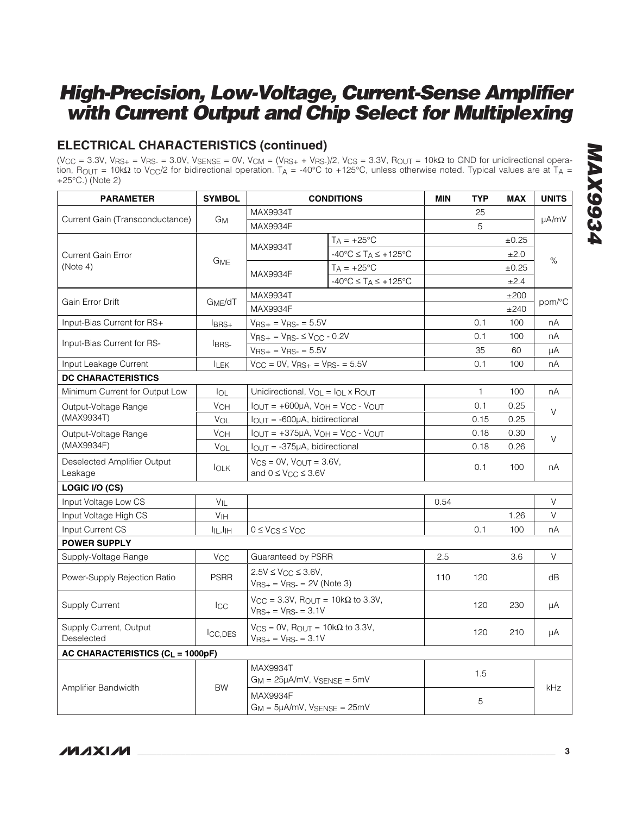### **ELECTRICAL CHARACTERISTICS (continued)**

(V<sub>CC</sub> = 3.3V, V<sub>RS+</sub> = V<sub>RS-</sub> = 3.0V, V<sub>SENSE</sub> = 0V, V<sub>CM</sub> = (V<sub>RS+</sub> + V<sub>RS-</sub>)/2, V<sub>CS</sub> = 3.3V, R<sub>OUT</sub> = 10kΩ to GND for unidirectional operation,  $R_{\text{OUT}} = 10k\Omega$  to V<sub>CC</sub>/2 for bidirectional operation. T<sub>A</sub> = -40°C to +125°C, unless otherwise noted. Typical values are at T<sub>A</sub> = +25°C.) (Note 2)

| <b>PARAMETER</b>                             | <b>SYMBOL</b>                    | <b>CONDITIONS</b>                                                                               |                                                     | <b>MIN</b> | <b>TYP</b>   | <b>MAX</b> | <b>UNITS</b> |
|----------------------------------------------|----------------------------------|-------------------------------------------------------------------------------------------------|-----------------------------------------------------|------------|--------------|------------|--------------|
|                                              |                                  | MAX9934T                                                                                        |                                                     |            | 25           |            |              |
| Current Gain (Transconductance)              | Gм                               | MAX9934F                                                                                        |                                                     |            | 5            |            | µA/mV        |
|                                              |                                  |                                                                                                 | $T_A = +25$ °C                                      |            |              | $\pm 0.25$ |              |
| <b>Current Gain Error</b>                    |                                  | MAX9934T                                                                                        | $-40^{\circ}$ C $\leq$ T <sub>A</sub> $\leq$ +125°C |            |              | ±2.0       |              |
| (Note 4)                                     | GME                              |                                                                                                 | $T_A = +25$ °C                                      |            |              | $\pm 0.25$ | %            |
|                                              |                                  | MAX9934F                                                                                        | $-40^{\circ}$ C $\leq$ T <sub>A</sub> $\leq$ +125°C |            |              | ±2.4       |              |
|                                              |                                  | MAX9934T                                                                                        |                                                     |            |              | ±200       |              |
| Gain Error Drift                             | G <sub>ME</sub> /dT              | MAX9934F                                                                                        |                                                     |            |              | ±240       | ppm/°C       |
| Input-Bias Current for RS+                   | $l$ BRS+                         | $V_{RS+} = V_{RS-} = 5.5V$                                                                      |                                                     |            | 0.1          | 100        | nA           |
|                                              |                                  | $V_{RS+} = V_{RS-} \leq V_{CC} - 0.2V$                                                          |                                                     |            | 0.1          | 100        | nA           |
| Input-Bias Current for RS-                   | IBRS-                            | $V_{RS+} = V_{RS-} = 5.5V$                                                                      |                                                     |            | 35           | 60         | μA           |
| Input Leakage Current                        | <b>ILEK</b>                      | $V_{CC} = 0V$ , $V_{RS+} = V_{RS-} = 5.5V$                                                      |                                                     |            | 0.1          | 100        | nA           |
| <b>DC CHARACTERISTICS</b>                    |                                  |                                                                                                 |                                                     |            |              |            |              |
| Minimum Current for Output Low               | lol                              | Unidirectional, V <sub>OL</sub> = I <sub>OL</sub> x R <sub>OUT</sub>                            |                                                     |            | $\mathbf{1}$ | 100        | nA           |
| Output-Voltage Range                         | <b>VOH</b>                       | $I_{OUT} = +600\mu A$ , $V_{OH} = V_{CC} - V_{OUT}$<br>$I_{OUT} = -600\mu A$ , bidirectional    |                                                     |            | 0.1          | 0.25       | $\vee$       |
| (MAX9934T)                                   | VOL                              |                                                                                                 |                                                     |            | 0.15         | 0.25       |              |
| Output-Voltage Range                         | V <sub>OH</sub>                  | $I_{OUT} = +375\mu A$ , $V_{OH} = V_{CC} - V_{OUT}$                                             |                                                     |            | 0.18         | 0.30       |              |
| (MAX9934F)                                   | VOL                              | $IOUT = -375µA$ , bidirectional                                                                 |                                                     |            | 0.18         | 0.26       | V            |
| Deselected Amplifier Output<br>Leakage       | $I_{OLK}$                        | $V_{CS} = 0V$ , $V_{OUT} = 3.6V$ ,<br>and $0 \leq V_{CC} \leq 3.6V$                             |                                                     |            | 0.1          | 100        | nA           |
| LOGIC I/O (CS)                               |                                  |                                                                                                 |                                                     |            |              |            |              |
| Input Voltage Low CS                         | $V_{IL}$                         |                                                                                                 |                                                     | 0.54       |              |            | $\vee$       |
| Input Voltage High CS                        | V <sub>IH</sub>                  |                                                                                                 |                                                     |            |              | 1.26       | $\vee$       |
| Input Current CS                             | l <sub>IL</sub> ,I <sub>IH</sub> | $0 \leq V_{CS} \leq V_{CC}$                                                                     |                                                     |            | 0.1          | 100        | nA           |
| <b>POWER SUPPLY</b>                          |                                  |                                                                                                 |                                                     |            |              |            |              |
| Supply-Voltage Range                         | $V_{\rm CC}$                     | Guaranteed by PSRR                                                                              |                                                     | 2.5        |              | 3.6        | V            |
| Power-Supply Rejection Ratio                 | <b>PSRR</b>                      | $2.5V \le V_{CC} \le 3.6V$ ,<br>$V_{RS+} = V_{RS-} = 2V$ (Note 3)                               |                                                     | 110        | 120          |            | dB           |
| <b>Supply Current</b>                        | <b>I</b> CC                      | $V_{\text{CC}} = 3.3V$ , R <sub>OUT</sub> = 10k $\Omega$ to 3.3V,<br>$V_{RS+} = V_{RS-} = 3.1V$ |                                                     |            | 120          | 230        | μA           |
| Supply Current, Output<br>Deselected         | ICC.DES                          | $V_{CS} = 0V$ , $R_{OUIT} = 10k\Omega$ to 3.3V,<br>$V_{RS+} = V_{RS-} = 3.1V$                   |                                                     |            | 120          | 210        | μA           |
| AC CHARACTERISTICS (C <sub>L</sub> = 1000pF) |                                  |                                                                                                 |                                                     |            |              |            |              |
|                                              |                                  | MAX9934T<br>$G_M = 25\mu A/mV$ , $V_{SENSE} = 5mV$                                              |                                                     |            | 1.5          |            | kHz          |
| Amplifier Bandwidth                          | <b>BW</b>                        | MAX9934F<br>$G_M = 5\mu A/mV$ , $V_{SENSE} = 25mV$                                              |                                                     |            | 5            |            |              |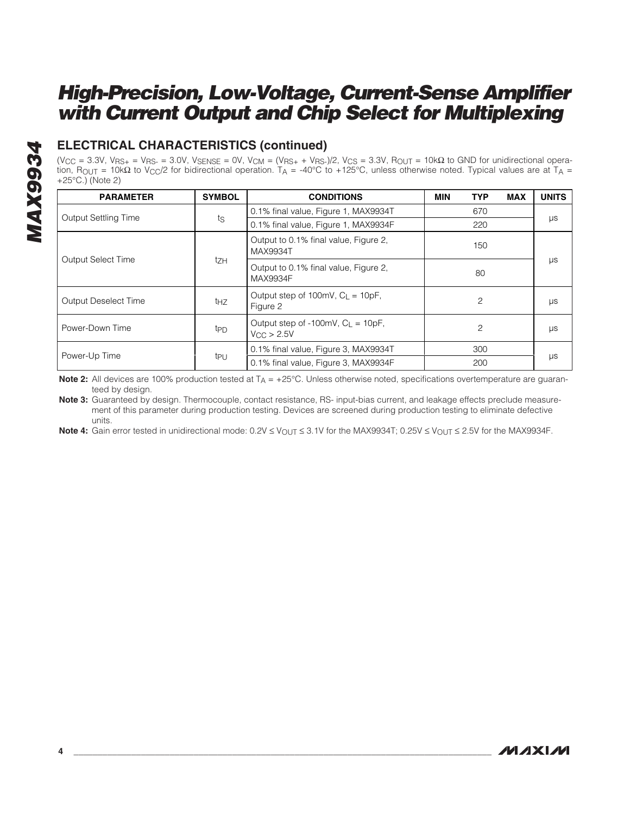# **MAX9934 MAX9934**

### **ELECTRICAL CHARACTERISTICS (continued)**

(V<sub>CC</sub> = 3.3V, V<sub>RS+</sub> = V<sub>RS-</sub> = 3.0V, V<sub>SENSE</sub> = 0V, V<sub>CM</sub> = (V<sub>RS+</sub> + V<sub>RS-</sub>)/2, V<sub>CS</sub> = 3.3V, R<sub>OUT</sub> = 10kΩ to GND for unidirectional operation, R<sub>OUT</sub> = 10kΩ to V<sub>CC</sub>/2 for bidirectional operation. T<sub>A</sub> = -40°C to +125°C, unless otherwise noted. Typical values are at T<sub>A</sub> = +25°C.) (Note 2)

| <b>PARAMETER</b>            | <b>SYMBOL</b>   | <b>CONDITIONS</b>                                                                 | <b>MIN</b> | <b>TYP</b> | <b>MAX</b> | <b>UNITS</b> |
|-----------------------------|-----------------|-----------------------------------------------------------------------------------|------------|------------|------------|--------------|
|                             |                 | 0.1% final value, Figure 1, MAX9934T                                              | 670        |            |            |              |
| <b>Output Settling Time</b> | ts              | 0.1% final value, Figure 1, MAX9934F                                              |            | 220        |            | μs           |
|                             |                 | Output to 0.1% final value, Figure 2,<br>MAX9934T                                 |            | 150        |            |              |
| <b>Output Select Time</b>   | tzh             | Output to 0.1% final value, Figure 2,<br>MAX9934F                                 | 80         |            | μs         |              |
| <b>Output Deselect Time</b> | thz             | Output step of 100mV, $C_{L} = 10pF$ ,<br>$\overline{c}$<br>Figure 2              |            |            | μs         |              |
| Power-Down Time             | t <sub>PD</sub> | Output step of $-100$ mV, $C_1 = 10pF$ ,<br>$\overline{c}$<br>$V_{\rm CC}$ > 2.5V |            |            | μs         |              |
| Power-Up Time               |                 | 0.1% final value, Figure 3, MAX9934T<br>300                                       |            |            |            |              |
|                             | tpu             | 0.1% final value, Figure 3, MAX9934F                                              |            | 200        |            | μs           |

**Note 2:** All devices are 100% production tested at T<sub>A</sub> = +25°C. Unless otherwise noted, specifications overtemperature are guaranteed by design.

**Note 3:** Guaranteed by design. Thermocouple, contact resistance, RS- input-bias current, and leakage effects preclude measurement of this parameter during production testing. Devices are screened during production testing to eliminate defective units.

Note 4: Gain error tested in unidirectional mode: 0.2V ≤ V<sub>OUT</sub> ≤ 3.1V for the MAX9934T; 0.25V ≤ V<sub>OUT</sub> ≤ 2.5V for the MAX9934F.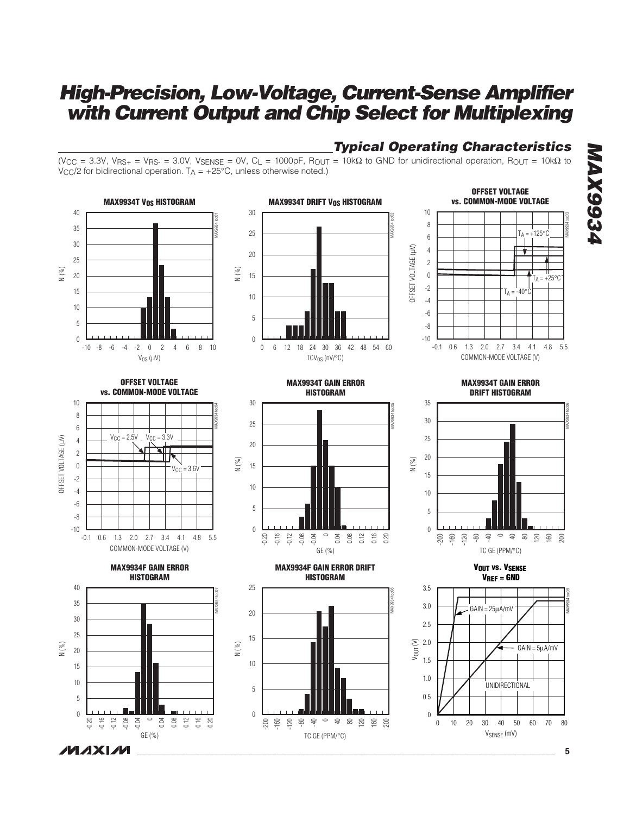**Typical Operating Characteristics**



**MAXM** 

**MAX9934 AXS934A**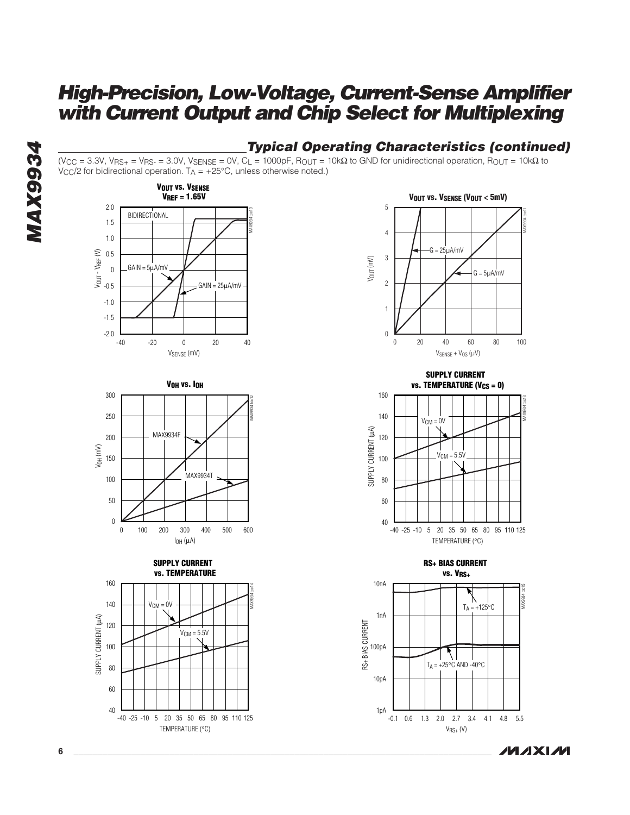### **Typical Operating Characteristics (continued)**

(V<sub>CC</sub> = 3.3V, V<sub>RS+</sub> = V<sub>RS-</sub> = 3.0V, V<sub>SENSE</sub> = 0V, C<sub>L</sub> = 1000pF, R<sub>OUT</sub> = 10kΩ to GND for unidirectional operation, R<sub>OUT</sub> = 10kΩ to  $V_{\text{CC}}/2$  for bidirectional operation.  $T_A = +25^{\circ}\text{C}$ , unless otherwise noted.)











**SUPPLY CURRENT vs. TEMPERATURE (V<sub>CS</sub> = 0)** 



**RS+ BIAS CURRENT vs. VRS+**



**MAXM**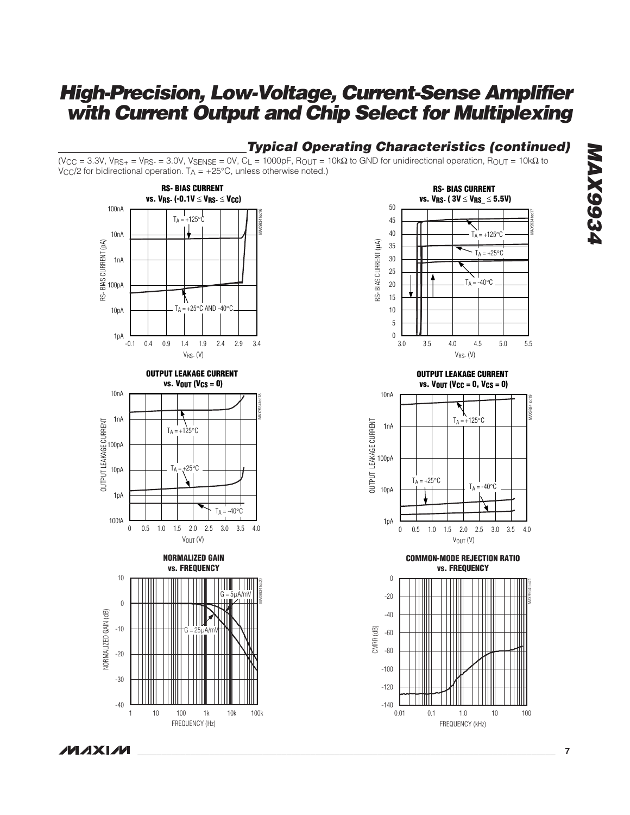### **Typical Operating Characteristics (continued)**

(V<sub>CC</sub> = 3.3V, V<sub>RS+</sub> = V<sub>RS-</sub> = 3.0V, V<sub>SENSE</sub> = 0V, C<sub>L</sub> = 1000pF, R<sub>OUT</sub> = 10kΩ to GND for unidirectional operation, R<sub>OUT</sub> = 10kΩ to  $V_{\text{CC}}/2$  for bidirectional operation.  $T_A = +25^{\circ}\text{C}$ , unless otherwise noted.)



FREQUENCY (Hz)

10 100 1k 10k

1 10 100 1k 10k 100k



**OUTPUT LEAKAGE CURRENT vs. VOUT (VCC = 0, VCS = 0)**



**COMMON-MODE REJECTION RATIO vs. FREQUENCY**



**MAX9934 MAX9934** 

**MAXM** 

-30

-40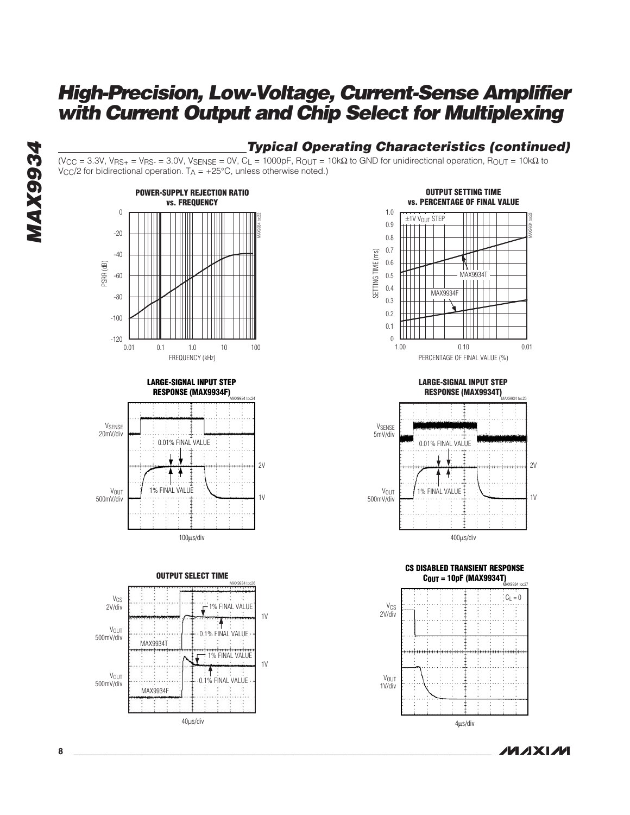### **Typical Operating Characteristics (continued)**

(V<sub>CC</sub> = 3.3V, V<sub>RS+</sub> = V<sub>RS-</sub> = 3.0V, V<sub>SENSE</sub> = 0V, C<sub>L</sub> = 1000pF, R<sub>OUT</sub> = 10kΩ to GND for unidirectional operation, R<sub>OUT</sub> = 10kΩ to  $V_{\text{CC}}/2$  for bidirectional operation.  $T_A = +25^{\circ}\text{C}$ , unless otherwise noted.)











**LARGE-SIGNAL INPUT STEP RESPONSE (MAX9934T)** V<sub>SENSE</sub> 5mV/div MAX9934 toc25 0.01% FINAL VALUE 2V



**CS DISABLED TRANSIENT RESPONSE COUT = 10pF (MAX9934T)** MAX9934 toc27



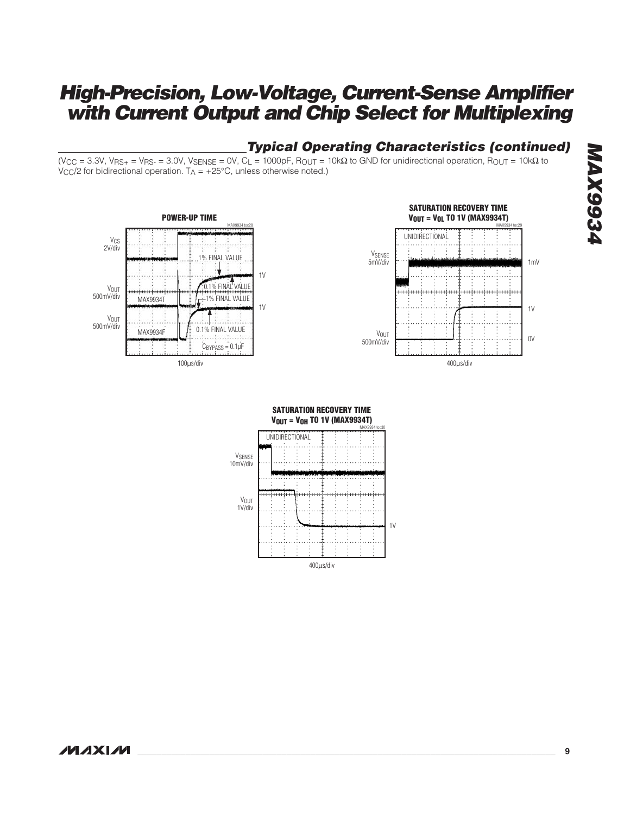### **Typical Operating Characteristics (continued)**

(V<sub>CC</sub> = 3.3V, V<sub>RS+</sub> = V<sub>RS-</sub> = 3.0V, V<sub>SENSE</sub> = 0V, C<sub>L</sub> = 1000pF, R<sub>OUT</sub> = 10kΩ to GND for unidirectional operation, R<sub>OUT</sub> = 10kΩ to  $V_{\rm CC}/2$  for bidirectional operation.  $T_A = +25^{\circ}\text{C}$ , unless otherwise noted.)





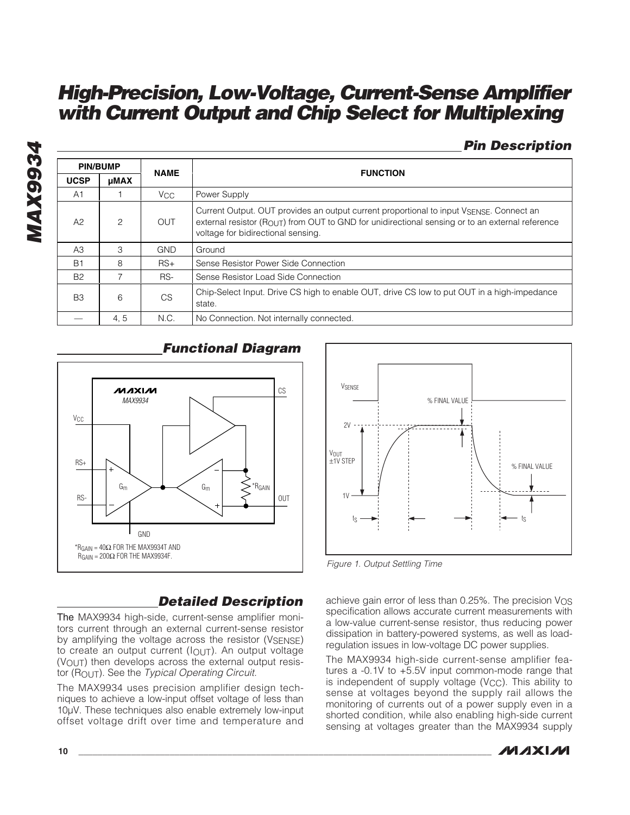### **Pin Description**

|                | <b>PIN/BUMP</b> | <b>NAME</b>     | <b>FUNCTION</b>                                                                                                                                                                                                                                |
|----------------|-----------------|-----------------|------------------------------------------------------------------------------------------------------------------------------------------------------------------------------------------------------------------------------------------------|
| <b>UCSP</b>    | <b>µMAX</b>     |                 |                                                                                                                                                                                                                                                |
| A <sub>1</sub> |                 | V <sub>CC</sub> | Power Supply                                                                                                                                                                                                                                   |
| A2             | 2               | <b>OUT</b>      | Current Output. OUT provides an output current proportional to input VSENSE. Connect an<br>external resistor ( $R_{\text{OUT}}$ ) from OUT to GND for unidirectional sensing or to an external reference<br>voltage for bidirectional sensing. |
| A3             | 3               | <b>GND</b>      | Ground                                                                                                                                                                                                                                         |
| B <sub>1</sub> | 8               | $RS+$           | Sense Resistor Power Side Connection                                                                                                                                                                                                           |
| <b>B2</b>      |                 | RS-             | Sense Resistor Load Side Connection                                                                                                                                                                                                            |
| B <sub>3</sub> | 6               | <b>CS</b>       | Chip-Select Input. Drive CS high to enable OUT, drive CS low to put OUT in a high-impedance<br>state.                                                                                                                                          |
|                | 4, 5            | N.C.            | No Connection. Not internally connected.                                                                                                                                                                                                       |

**V**<sub>OUT</sub> ±1V STEP

 $2V$ 

VSENSE

tS

 $1V$ 



### **Functional Diagram**



achieve gain error of less than  $0.25\%$ . The precision  $V_{OS}$ specification allows accurate current measurements with a low-value current-sense resistor, thus reducing power dissipation in battery-powered systems, as well as loadregulation issues in low-voltage DC power supplies.

% FINAL VALUE

The MAX9934 high-side current-sense amplifier features a -0.1V to +5.5V input common-mode range that is independent of supply voltage  $(V_{CC})$ . This ability to sense at voltages beyond the supply rail allows the monitoring of currents out of a power supply even in a shorted condition, while also enabling high-side current sensing at voltages greater than the MAX9934 supply



 $t<sub>S</sub>$ 

% FINAL VALUE

### **Detailed Description**

The MAX9934 high-side, current-sense amplifier monitors current through an external current-sense resistor by amplifying the voltage across the resistor (VSENSE) to create an output current (IOUT). An output voltage (VOUT) then develops across the external output resistor (ROUT). See the Typical Operating Circuit.

The MAX9934 uses precision amplifier design techniques to achieve a low-input offset voltage of less than 10µV. These techniques also enable extremely low-input offset voltage drift over time and temperature and

**MAX9934**

**MAX9934**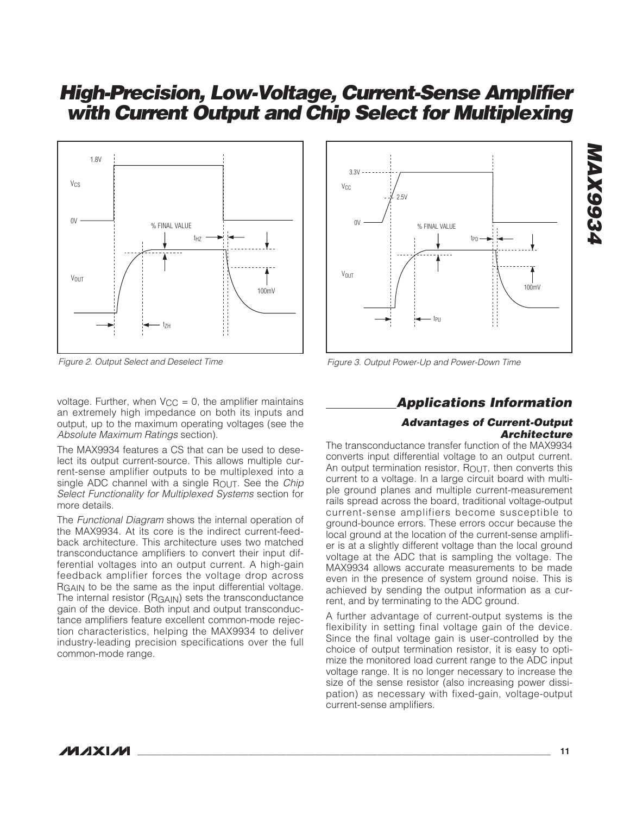

Figure 2. Output Select and Deselect Time

voltage. Further, when  $V_{CC} = 0$ , the amplifier maintains an extremely high impedance on both its inputs and output, up to the maximum operating voltages (see the Absolute Maximum Ratings section).

The MAX9934 features a CS that can be used to deselect its output current-source. This allows multiple current-sense amplifier outputs to be multiplexed into a single ADC channel with a single  $R_{\text{OUT}}$ . See the *Chip* Select Functionality for Multiplexed Systems section for more details.

The Functional Diagram shows the internal operation of the MAX9934. At its core is the indirect current-feedback architecture. This architecture uses two matched transconductance amplifiers to convert their input differential voltages into an output current. A high-gain feedback amplifier forces the voltage drop across RGAIN to be the same as the input differential voltage. The internal resistor (RGAIN) sets the transconductance gain of the device. Both input and output transconductance amplifiers feature excellent common-mode rejection characteristics, helping the MAX9934 to deliver industry-leading precision specifications over the full common-mode range.



Figure 3. Output Power-Up and Power-Down Time

### **Applications Information**

### **Advantages of Current-Output Architecture**

The transconductance transfer function of the MAX9934 converts input differential voltage to an output current. An output termination resistor,  $R_{\text{OUT}}$ , then converts this current to a voltage. In a large circuit board with multiple ground planes and multiple current-measurement rails spread across the board, traditional voltage-output current-sense amplifiers become susceptible to ground-bounce errors. These errors occur because the local ground at the location of the current-sense amplifier is at a slightly different voltage than the local ground voltage at the ADC that is sampling the voltage. The MAX9934 allows accurate measurements to be made even in the presence of system ground noise. This is achieved by sending the output information as a current, and by terminating to the ADC ground.

A further advantage of current-output systems is the flexibility in setting final voltage gain of the device. Since the final voltage gain is user-controlled by the choice of output termination resistor, it is easy to optimize the monitored load current range to the ADC input voltage range. It is no longer necessary to increase the size of the sense resistor (also increasing power dissipation) as necessary with fixed-gain, voltage-output current-sense amplifiers.

## **MAX9934 MAX9934**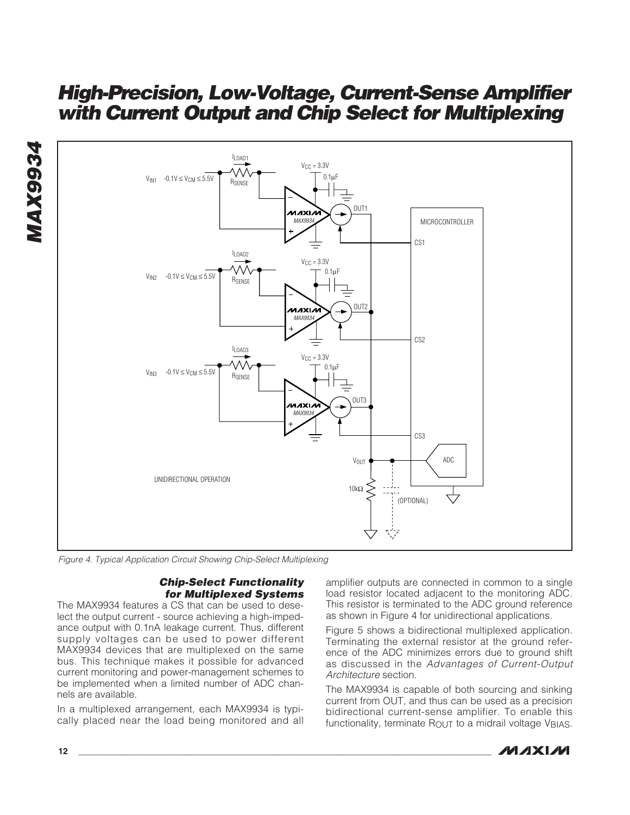**MAX9934 MAX9934** 



Figure 4. Typical Application Circuit Showing Chip-Select Multiplexing

### **Chip-Select Functionality for Multiplexed Systems**

The MAX9934 features a CS that can be used to deselect the output current - source achieving a high-impedance output with 0.1nA leakage current. Thus, different supply voltages can be used to power different MAX9934 devices that are multiplexed on the same bus. This technique makes it possible for advanced current monitoring and power-management schemes to be implemented when a limited number of ADC channels are available.

In a multiplexed arrangement, each MAX9934 is typically placed near the load being monitored and all amplifier outputs are connected in common to a single load resistor located adjacent to the monitoring ADC. This resistor is terminated to the ADC ground reference as shown in Figure 4 for unidirectional applications.

Figure 5 shows a bidirectional multiplexed application. Terminating the external resistor at the ground reference of the ADC minimizes errors due to ground shift as discussed in the Advantages of Current-Output Architecture section.

The MAX9934 is capable of both sourcing and sinking current from OUT, and thus can be used as a precision bidirectional current-sense amplifier. To enable this functionality, terminate ROUT to a midrail voltage VBIAS.

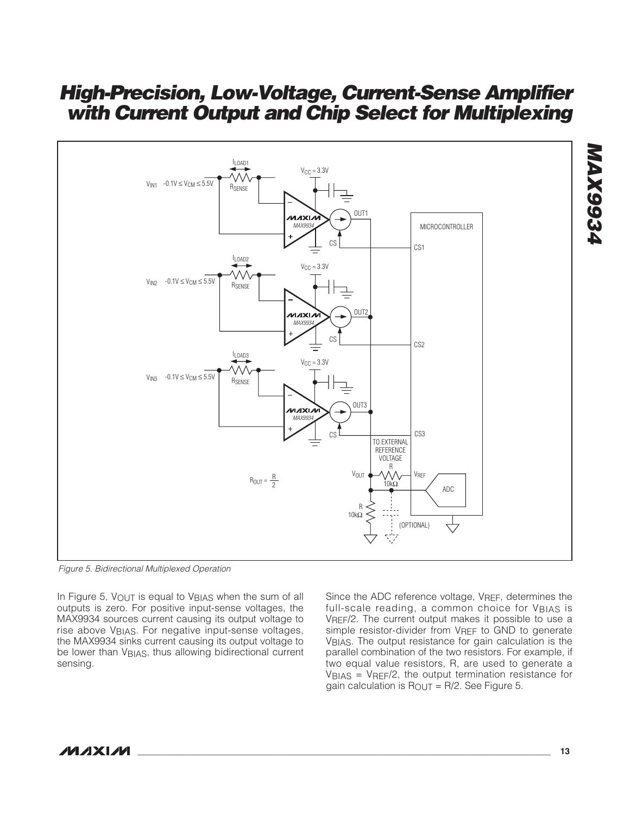

Figure 5. Bidirectional Multiplexed Operation

In Figure 5,  $V_{\text{OUT}}$  is equal to  $V_{\text{BIAS}}$  when the sum of all outputs is zero. For positive input-sense voltages, the MAX9934 sources current causing its output voltage to rise above VBIAS. For negative input-sense voltages, the MAX9934 sinks current causing its output voltage to be lower than V<sub>BIAS</sub>, thus allowing bidirectional current sensing.

Since the ADC reference voltage, V<sub>REF</sub>, determines the full-scale reading, a common choice for VBIAS is VREF/2. The current output makes it possible to use a simple resistor-divider from VRFF to GND to generate VBIAS. The output resistance for gain calculation is the parallel combination of the two resistors. For example, if two equal value resistors, R, are used to generate a VBIAS = VREF/2, the output termination resistance for gain calculation is  $R_{\text{OUT}} = R/2$ . See Figure 5.

**MAX9934 PEGGXVM**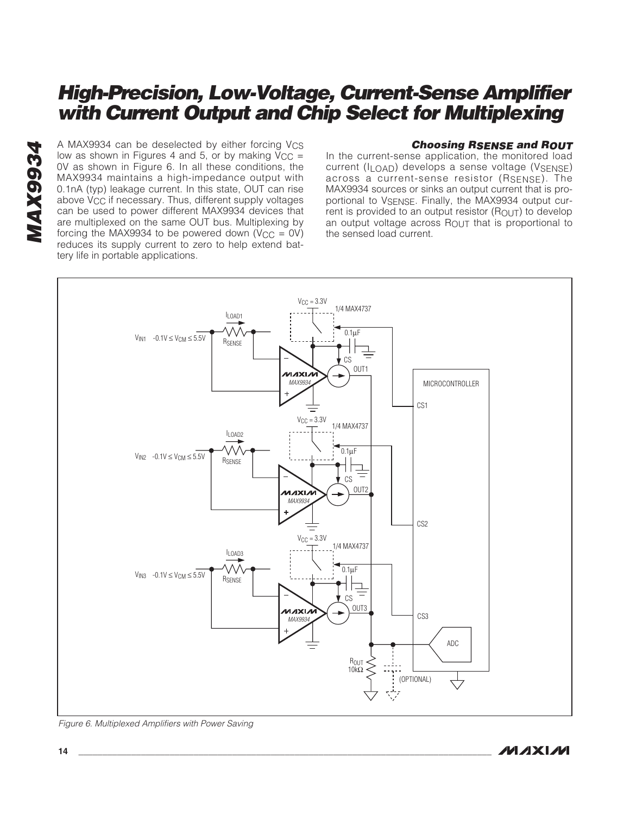A MAX9934 can be deselected by either forcing Vcs<br>low as shown in Figures 4 and 5, or by making Vcc =<br>0V as shown in Figure 6. In all these conditions, the<br>MAX9934 maintains a high-impedance output with<br>0.1nA (typ) leakage low as shown in Figures 4 and 5, or by making  $\dot{V}_{CC}$  = 0V as shown in Figure 6. In all these conditions, the MAX9934 maintains a high-impedance output with 0.1nA (typ) leakage current. In this state, OUT can rise above V<sub>CC</sub> if necessary. Thus, different supply voltages can be used to power different MAX9934 devices that are multiplexed on the same OUT bus. Multiplexing by forcing the MAX9934 to be powered down ( $V_{CC} = 0V$ ) reduces its supply current to zero to help extend battery life in portable applications.

### **Choosing RSENSE and ROUT**

In the current-sense application, the monitored load current (ILOAD) develops a sense voltage (VSENSE) across a current-sense resistor (RSENSE). The MAX9934 sources or sinks an output current that is proportional to VSENSE. Finally, the MAX9934 output current is provided to an output resistor  $(R_{\text{OUT}})$  to develop an output voltage across  $R_{\text{OUT}}$  that is proportional to the sensed load current.



Figure 6. Multiplexed Amplifiers with Power Saving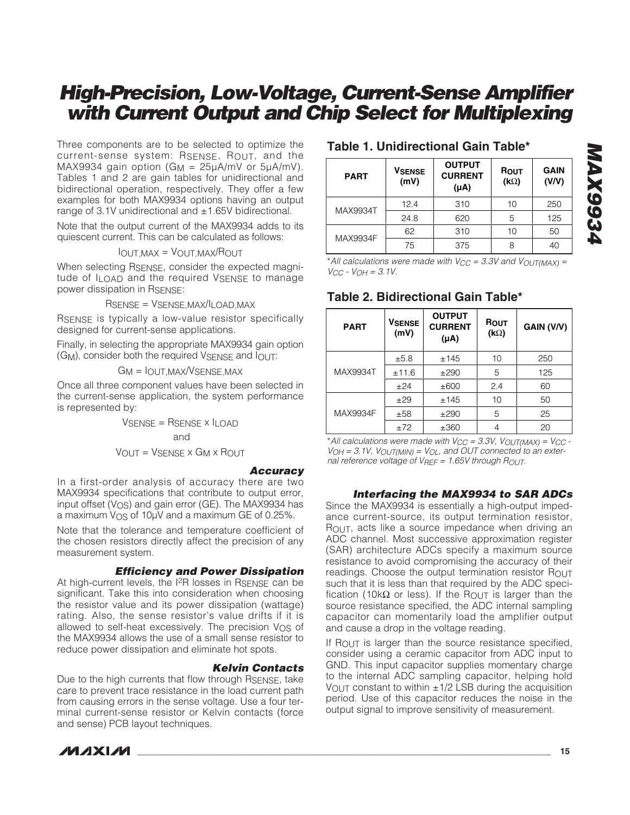Three components are to be selected to optimize the current-sense system: RSENSE, ROUT, and the MAX9934 gain option (G<sub>M</sub> =  $25\mu$ A/mV or  $5\mu$ A/mV). Tables 1 and 2 are gain tables for unidirectional and bidirectional operation, respectively. They offer a few examples for both MAX9934 options having an output range of 3.1V unidirectional and  $\pm$ 1.65V bidirectional.

Note that the output current of the MAX9934 adds to its quiescent current. This can be calculated as follows:

$$
IOUT, MAX = VOUT, MAX/ROUT
$$

When selecting RSENSE, consider the expected magnitude of ILOAD and the required VSENSE to manage power dissipation in RSENSE:

RSENSE = VSENSE,MAX/ILOAD,MAX

RSENSE is typically a low-value resistor specifically designed for current-sense applications.

Finally, in selecting the appropriate MAX9934 gain option  $(G_M)$ , consider both the required  $V_{\text{SENSE}}$  and  $I_{\text{OUT}}$ :

GM = IOUT,MAX/VSENSE,MAX

Once all three component values have been selected in the current-sense application, the system performance is represented by:

> VSENSE = RSENSE x ILOAD and

$$
V_{OUT} = V_{SENSE} \times G_M \times R_{OUT}
$$

### **Accuracy**

In a first-order analysis of accuracy there are two MAX9934 specifications that contribute to output error, input offset (V<sub>OS</sub>) and gain error (GE). The MAX9934 has a maximum V<sub>OS</sub> of 10µV and a maximum GE of 0.25%.

Note that the tolerance and temperature coefficient of the chosen resistors directly affect the precision of any measurement system.

### **Efficiency and Power Dissipation**

At high-current levels, the I<sup>2</sup>R losses in RSENSE can be significant. Take this into consideration when choosing the resistor value and its power dissipation (wattage) rating. Also, the sense resistor's value drifts if it is allowed to self-heat excessively. The precision  $V_{OS}$  of the MAX9934 allows the use of a small sense resistor to reduce power dissipation and eliminate hot spots.

### **Kelvin Contacts**

Due to the high currents that flow through RSENSE, take care to prevent trace resistance in the load current path from causing errors in the sense voltage. Use a four terminal current-sense resistor or Kelvin contacts (force and sense) PCB layout techniques.



### **Table 1. Unidirectional Gain Table\***

| <b>PART</b> | <b>OUTPUT</b><br><b>VSENSE</b><br><b>CURRENT</b><br>(mV)<br>$(\mu A)$ |     | ROUT<br>$(k\Omega)$ | <b>GAIN</b><br>(V/V) |
|-------------|-----------------------------------------------------------------------|-----|---------------------|----------------------|
| MAX9934T    | 12.4                                                                  | 310 | 10                  | 250                  |
|             | 24.8                                                                  | 620 | 5                   | 125                  |
| MAX9934F    | 62                                                                    | 310 | 10                  | 50                   |
|             | 75                                                                    | 375 |                     | 40                   |

\*All calculations were made with  $V_{CC} = 3.3V$  and  $V_{OUT(MAX)} =$  $V_{CC}$  -  $V_{OH}$  = 3.1V.

### **Table 2. Bidirectional Gain Table\***

| <b>PART</b> | <b>VSENSE</b><br>(mV) | <b>OUTPUT</b><br><b>CURRENT</b><br>$(\mu A)$ | ROUT<br>$(k\Omega)$ | GAIN (V/V) |
|-------------|-----------------------|----------------------------------------------|---------------------|------------|
|             | ±5.8                  | ±145                                         | 10                  | 250        |
| MAX9934T    | ±11.6                 | ±290                                         | 5                   | 125        |
|             | ±24                   | ±600                                         | 2.4                 | 60         |
|             | ±29                   | ±145                                         | 10                  | 50         |
| MAX9934F    | ±58                   | ±290                                         | 5                   | 25         |
|             | ±72                   | ±360                                         |                     | 20         |

\* All calculations were made with  $V_{CC} = 3.3V$ ,  $V_{OUT(MAX)} = V_{CC} V_{OH} = 3.1V$ ,  $V_{OUT(MIN)} = V_{OL}$ , and OUT connected to an external reference voltage of  $V_{REF} = 1.65V$  through  $R_{OUT}$ .

### **Interfacing the MAX9934 to SAR ADCs**

Since the MAX9934 is essentially a high-output impedance current-source, its output termination resistor, ROUT, acts like a source impedance when driving an ADC channel. Most successive approximation register (SAR) architecture ADCs specify a maximum source resistance to avoid compromising the accuracy of their readings. Choose the output termination resistor ROUT such that it is less than that required by the ADC specification (10kΩ or less). If the ROUT is larger than the source resistance specified, the ADC internal sampling capacitor can momentarily load the amplifier output and cause a drop in the voltage reading.

If  $R_{\text{OUT}}$  is larger than the source resistance specified, consider using a ceramic capacitor from ADC input to GND. This input capacitor supplies momentary charge to the internal ADC sampling capacitor, helping hold VOUT constant to within  $\pm$ 1/2 LSB during the acquisition period. Use of this capacitor reduces the noise in the output signal to improve sensitivity of measurement.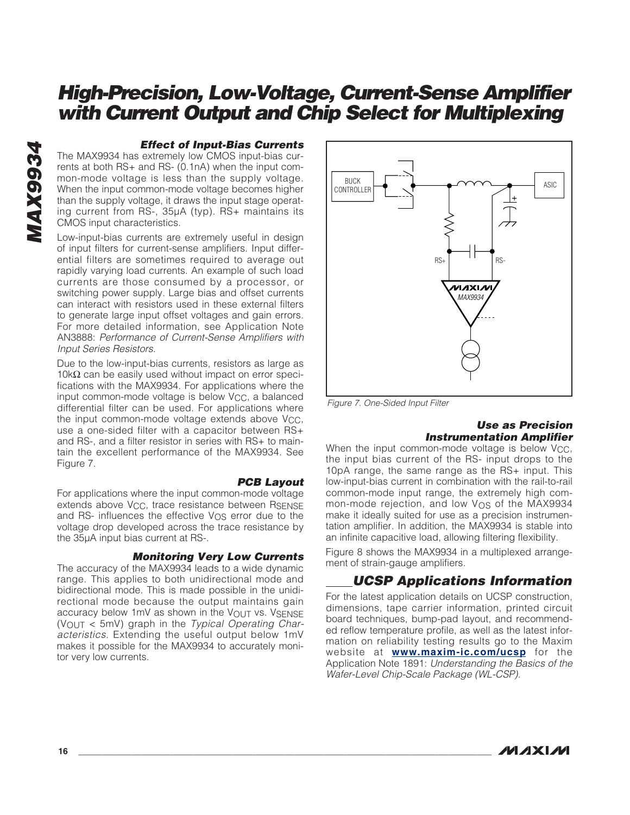### **Effect of Input-Bias Currents**

The MAX9934 has extremely low CMOS input-bias currents at both RS+ and RS- (0.1nA) when the input common-mode voltage is less than the supply voltage. When the input common-mode voltage becomes higher than the supply voltage, it draws the input stage operating current from RS-, 35µA (typ). RS+ maintains its CMOS input characteristics.

Low-input-bias currents are extremely useful in design of input filters for current-sense amplifiers. Input differential filters are sometimes required to average out rapidly varying load currents. An example of such load currents are those consumed by a processor, or switching power supply. Large bias and offset currents can interact with resistors used in these external filters to generate large input offset voltages and gain errors. For more detailed information, see Application Note AN3888: Performance of Current-Sense Amplifiers with Input Series Resistors.

Due to the low-input-bias currents, resistors as large as  $10kΩ$  can be easily used without impact on error specifications with the MAX9934. For applications where the input common-mode voltage is below V<sub>CC</sub>, a balanced differential filter can be used. For applications where the input common-mode voltage extends above V<sub>CC</sub>, use a one-sided filter with a capacitor between RS+ and RS-, and a filter resistor in series with RS+ to maintain the excellent performance of the MAX9934. See Figure 7.

**PCB Layout** For applications where the input common-mode voltage extends above V<sub>CC</sub>, trace resistance between RSENSE and RS- influences the effective  $V_{OS}$  error due to the voltage drop developed across the trace resistance by the 35µA input bias current at RS-.

### **Monitoring Very Low Currents**

The accuracy of the MAX9934 leads to a wide dynamic range. This applies to both unidirectional mode and bidirectional mode. This is made possible in the unidirectional mode because the output maintains gain accuracy below 1mV as shown in the  $V_{\text{OUT}}$  vs. VSENSE ( $V_{\text{OUT}}$  < 5mV) graph in the *Typical Operating Char*acteristics. Extending the useful output below 1mV makes it possible for the MAX9934 to accurately monitor very low currents.



Figure 7. One-Sided Input Filter

#### **Use as Precision Instrumentation Amplifier**

When the input common-mode voltage is below  $V_{CC}$ , the input bias current of the RS- input drops to the 10pA range, the same range as the RS+ input. This low-input-bias current in combination with the rail-to-rail common-mode input range, the extremely high common-mode rejection, and low V<sub>OS</sub> of the MAX9934 make it ideally suited for use as a precision instrumentation amplifier. In addition, the MAX9934 is stable into an infinite capacitive load, allowing filtering flexibility.

Figure 8 shows the MAX9934 in a multiplexed arrangement of strain-gauge amplifiers.

### **UCSP Applications Information**

For the latest application details on UCSP construction, dimensions, tape carrier information, printed circuit board techniques, bump-pad layout, and recommended reflow temperature profile, as well as the latest information on reliability testing results go to the Maxim website at **www.maxim-ic.com/ucsp** for the Application Note 1891: Understanding the Basics of the Wafer-Level Chip-Scale Package (WL-CSP).

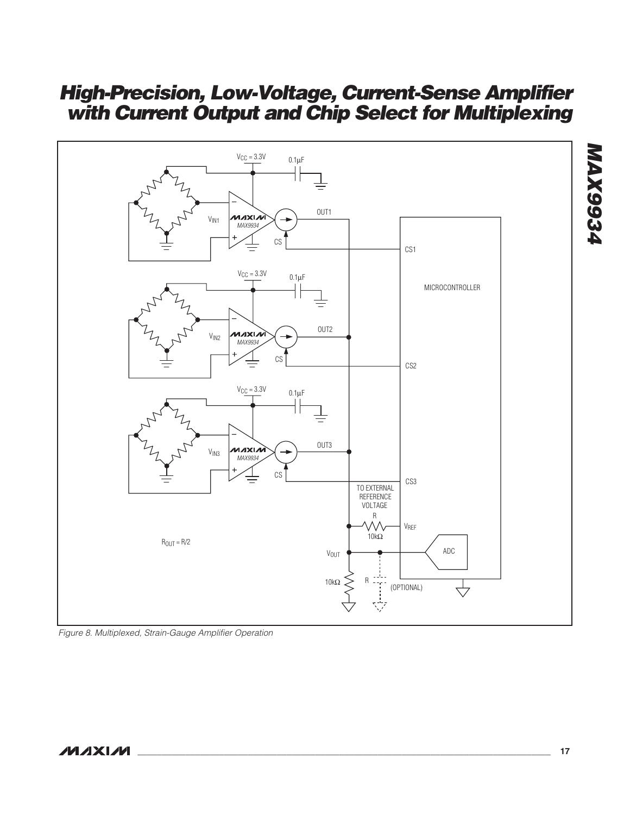

Figure 8. Multiplexed, Strain-Gauge Amplifier Operation

### **NAIXNA**

**\_\_\_\_\_\_\_\_\_\_\_\_\_\_\_\_\_\_\_\_\_\_\_\_\_\_\_\_\_\_\_\_\_\_\_\_\_\_\_\_\_\_\_\_\_\_\_\_\_\_\_\_\_\_\_\_\_\_\_\_\_\_\_\_\_\_\_\_\_\_\_\_\_\_\_\_\_\_\_\_\_\_\_\_\_\_ 17**

**MAX9934**

**MAX9934**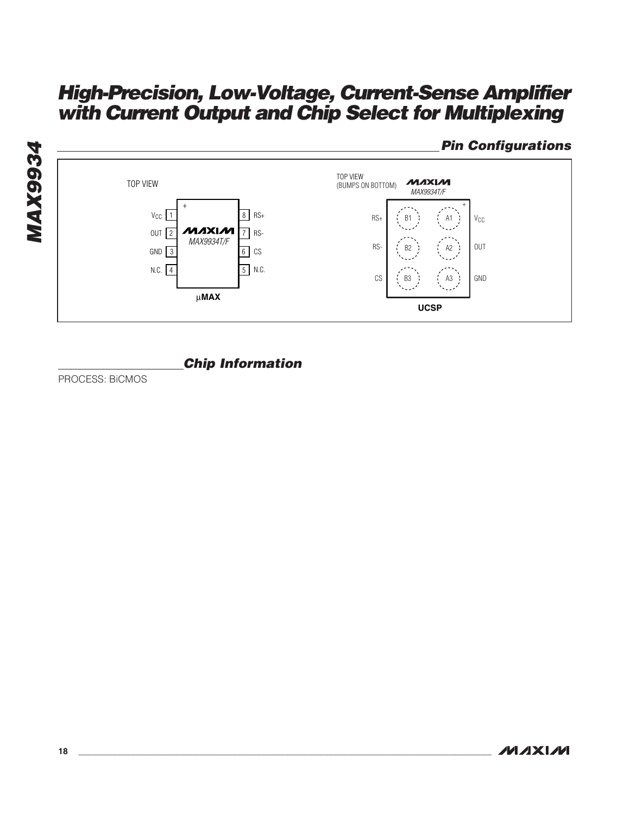

### **Chip Information**

PROCESS: BiCMOS

**Pin Configurations**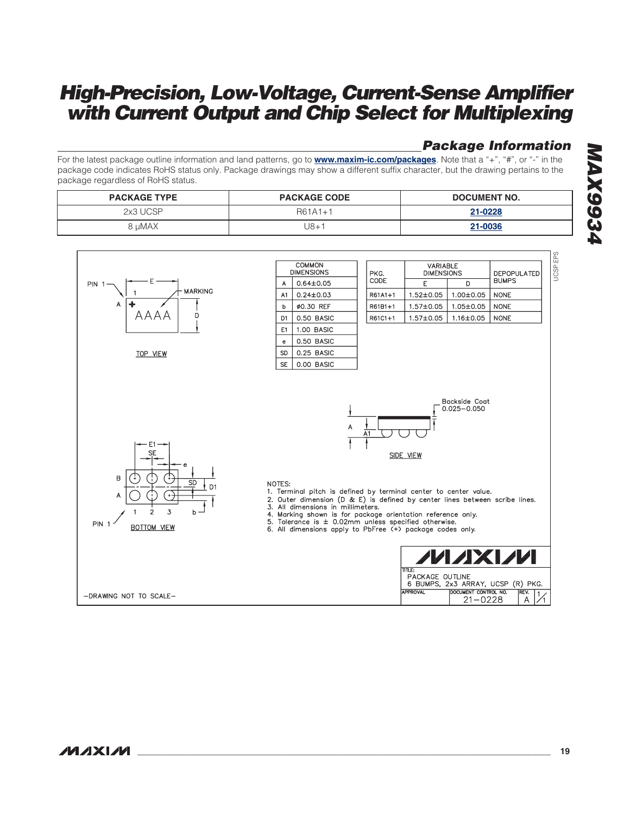### **Package Information**

For the latest package outline information and land patterns, go to **www.maxim-ic.com/packages**. Note that a "+", "#", or "-" in the package code indicates RoHS status only. Package drawings may show a different suffix character, but the drawing pertains to the package regardless of RoHS status.

| <b>PACKAGE TYPE</b> | <b>PACKAGE CODE</b> | DOCUMENT NO. |
|---------------------|---------------------|--------------|
| 2x3 UCSP            | R61A1+1             | 21-0228      |
| 8 uMAX              | J8+1                | 21-0036      |

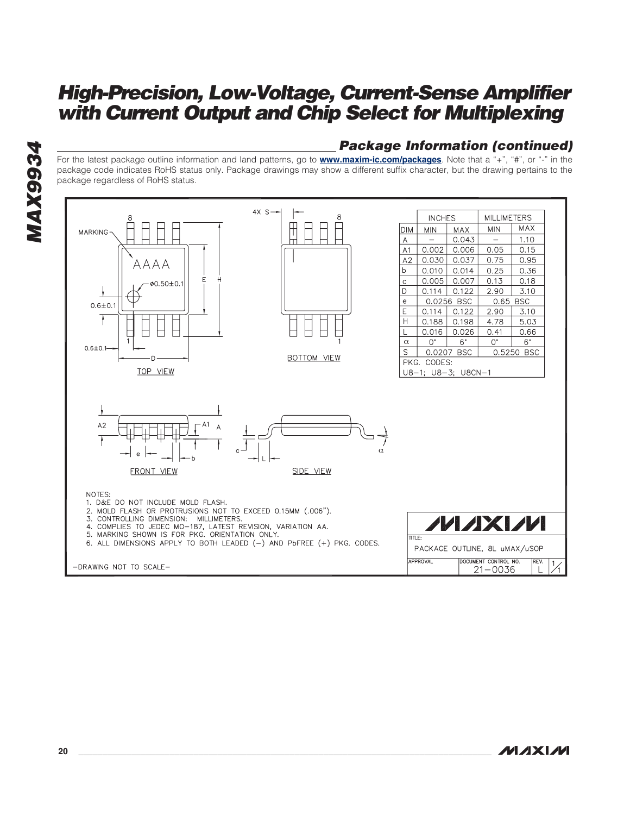### **Package Information (continued)**

For the latest package outline information and land patterns, go to **www.maxim-ic.com/packages**. Note that a "+", "#", or "-" in the package code indicates RoHS status only. Package drawings may show a different suffix character, but the drawing pertains to the package regardless of RoHS status.



**MAX9934**

**MAX9934**